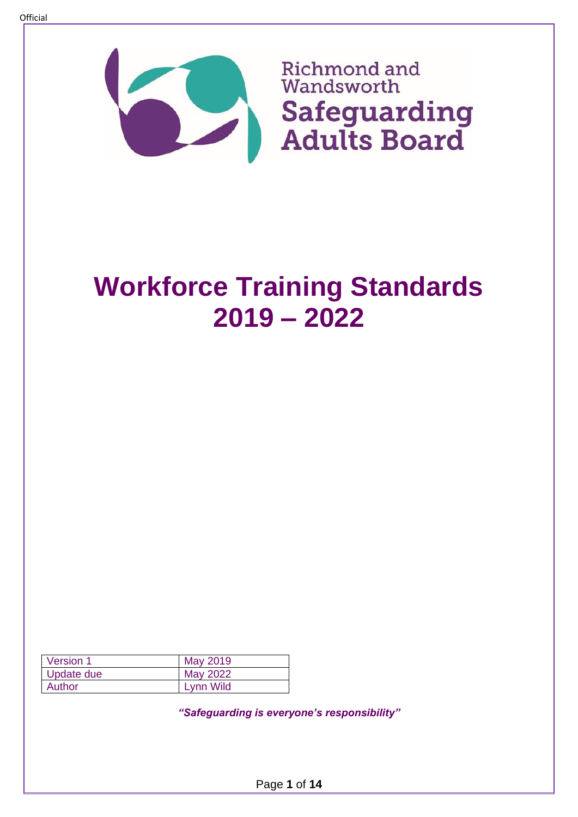

| Version 1  | May 2019  |
|------------|-----------|
| Update due | May 2022  |
| Author     | Lynn Wild |

*"Safeguarding is everyone's responsibility"*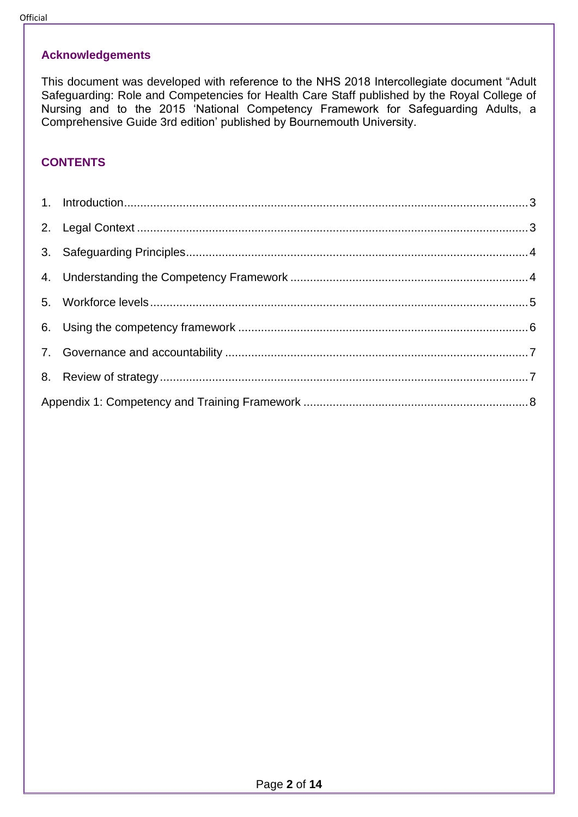#### **Acknowledgements**

This document was developed with reference to the NHS 2018 Intercollegiate document "Adult Safeguarding: Role and Competencies for Health Care Staff published by the Royal College of Nursing and to the 2015 'National Competency Framework for Safeguarding Adults, a Comprehensive Guide 3rd edition' published by Bournemouth University.

#### **CONTENTS**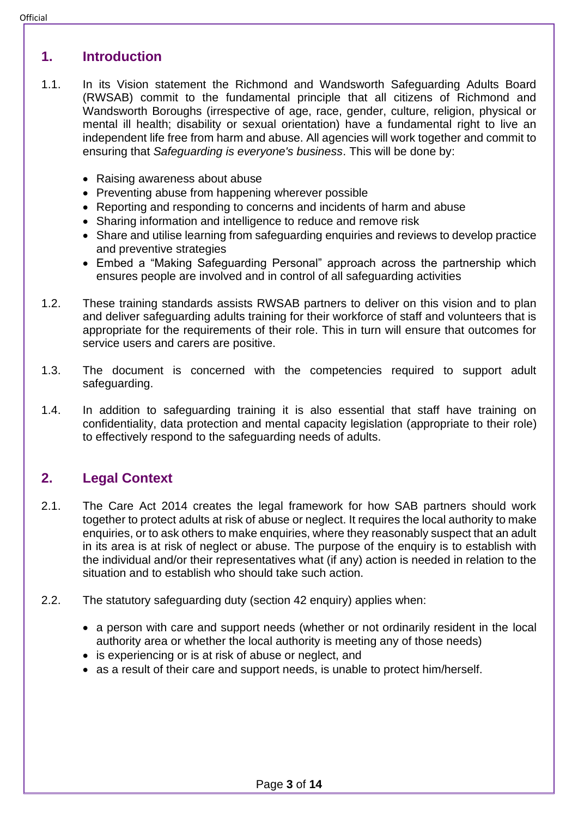#### <span id="page-2-0"></span>**1. Introduction**

- 1.1. In its Vision statement the Richmond and Wandsworth Safeguarding Adults Board (RWSAB) commit to the fundamental principle that all citizens of Richmond and Wandsworth Boroughs (irrespective of age, race, gender, culture, religion, physical or mental ill health; disability or sexual orientation) have a fundamental right to live an independent life free from harm and abuse. All agencies will work together and commit to ensuring that *Safeguarding is everyone's business*. This will be done by:
	- Raising awareness about abuse
	- Preventing abuse from happening wherever possible
	- Reporting and responding to concerns and incidents of harm and abuse
	- Sharing information and intelligence to reduce and remove risk
	- Share and utilise learning from safeguarding enquiries and reviews to develop practice and preventive strategies
	- Embed a "Making Safeguarding Personal" approach across the partnership which ensures people are involved and in control of all safeguarding activities
- 1.2. These training standards assists RWSAB partners to deliver on this vision and to plan and deliver safeguarding adults training for their workforce of staff and volunteers that is appropriate for the requirements of their role. This in turn will ensure that outcomes for service users and carers are positive.
- 1.3. The document is concerned with the competencies required to support adult safeguarding.
- 1.4. In addition to safeguarding training it is also essential that staff have training on confidentiality, data protection and mental capacity legislation (appropriate to their role) to effectively respond to the safeguarding needs of adults.

## <span id="page-2-1"></span>**2. Legal Context**

- 2.1. The Care Act 2014 creates the legal framework for how SAB partners should work together to protect adults at risk of abuse or neglect. It requires the local authority to make enquiries, or to ask others to make enquiries, where they reasonably suspect that an adult in its area is at risk of neglect or abuse. The purpose of the enquiry is to establish with the individual and/or their representatives what (if any) action is needed in relation to the situation and to establish who should take such action.
- 2.2. The statutory safeguarding duty (section 42 enquiry) applies when:
	- a person with care and support needs (whether or not ordinarily resident in the local authority area or whether the local authority is meeting any of those needs)
	- is experiencing or is at risk of abuse or neglect, and
	- as a result of their care and support needs, is unable to protect him/herself.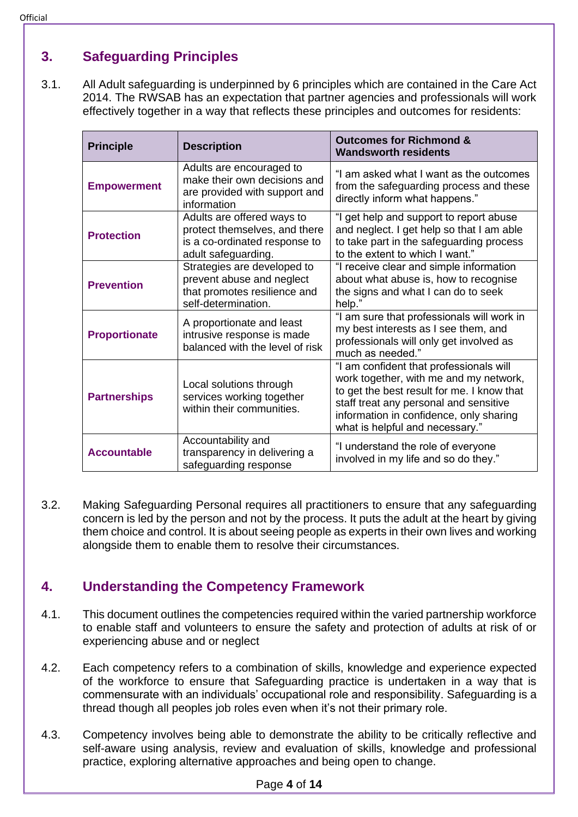# <span id="page-3-0"></span>**3. Safeguarding Principles**

3.1. All Adult safeguarding is underpinned by 6 principles which are contained in the Care Act 2014. The RWSAB has an expectation that partner agencies and professionals will work effectively together in a way that reflects these principles and outcomes for residents:

| <b>Principle</b>     | <b>Description</b>                                                                                                  | <b>Outcomes for Richmond &amp;</b><br><b>Wandsworth residents</b>                                                                                                                                                                                       |
|----------------------|---------------------------------------------------------------------------------------------------------------------|---------------------------------------------------------------------------------------------------------------------------------------------------------------------------------------------------------------------------------------------------------|
| <b>Empowerment</b>   | Adults are encouraged to<br>make their own decisions and<br>are provided with support and<br>information            | "I am asked what I want as the outcomes<br>from the safeguarding process and these<br>directly inform what happens."                                                                                                                                    |
| <b>Protection</b>    | Adults are offered ways to<br>protect themselves, and there<br>is a co-ordinated response to<br>adult safeguarding. | "I get help and support to report abuse<br>and neglect. I get help so that I am able<br>to take part in the safeguarding process<br>to the extent to which I want."                                                                                     |
| <b>Prevention</b>    | Strategies are developed to<br>prevent abuse and neglect<br>that promotes resilience and<br>self-determination.     | "I receive clear and simple information<br>about what abuse is, how to recognise<br>the signs and what I can do to seek<br>help."                                                                                                                       |
| <b>Proportionate</b> | A proportionate and least<br>intrusive response is made<br>balanced with the level of risk                          | "I am sure that professionals will work in<br>my best interests as I see them, and<br>professionals will only get involved as<br>much as needed."                                                                                                       |
| <b>Partnerships</b>  | Local solutions through<br>services working together<br>within their communities.                                   | "I am confident that professionals will<br>work together, with me and my network,<br>to get the best result for me. I know that<br>staff treat any personal and sensitive<br>information in confidence, only sharing<br>what is helpful and necessary." |
| <b>Accountable</b>   | Accountability and<br>transparency in delivering a<br>safeguarding response                                         | "I understand the role of everyone<br>involved in my life and so do they."                                                                                                                                                                              |

3.2. Making Safeguarding Personal requires all practitioners to ensure that any safeguarding concern is led by the person and not by the process. It puts the adult at the heart by giving them choice and control. It is about seeing people as experts in their own lives and working alongside them to enable them to resolve their circumstances.

# <span id="page-3-1"></span>**4. Understanding the Competency Framework**

- 4.1. This document outlines the competencies required within the varied partnership workforce to enable staff and volunteers to ensure the safety and protection of adults at risk of or experiencing abuse and or neglect
- 4.2. Each competency refers to a combination of skills, knowledge and experience expected of the workforce to ensure that Safeguarding practice is undertaken in a way that is commensurate with an individuals' occupational role and responsibility. Safeguarding is a thread though all peoples job roles even when it's not their primary role.
- 4.3. Competency involves being able to demonstrate the ability to be critically reflective and self-aware using analysis, review and evaluation of skills, knowledge and professional practice, exploring alternative approaches and being open to change.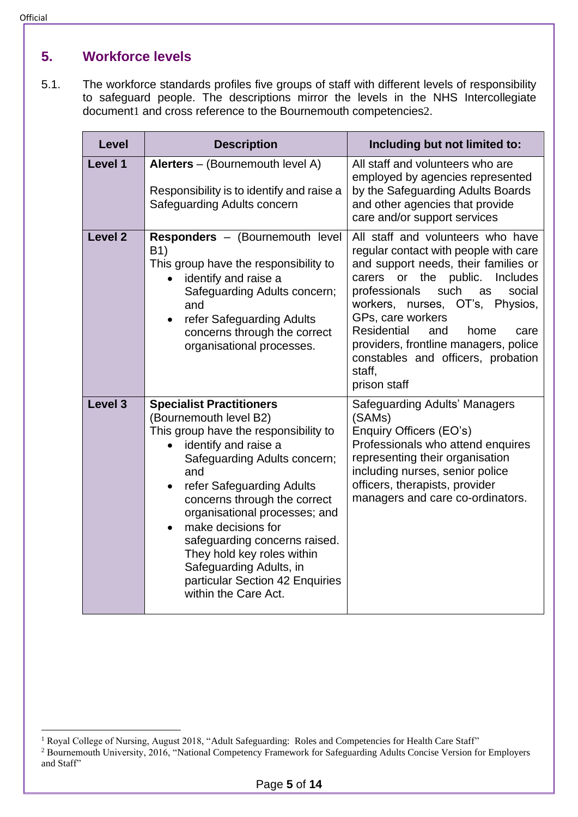# <span id="page-4-0"></span>**5. Workforce levels**

5.1. The workforce standards profiles five groups of staff with different levels of responsibility to safeguard people. The descriptions mirror the levels in the NHS Intercollegiate document1 and cross reference to the Bournemouth competencies2.

| Level              | <b>Description</b>                                                                                                                                                                                                                                                                                                                                                                                                                         | Including but not limited to:                                                                                                                                                                                                                                                                                                                                                                                            |  |
|--------------------|--------------------------------------------------------------------------------------------------------------------------------------------------------------------------------------------------------------------------------------------------------------------------------------------------------------------------------------------------------------------------------------------------------------------------------------------|--------------------------------------------------------------------------------------------------------------------------------------------------------------------------------------------------------------------------------------------------------------------------------------------------------------------------------------------------------------------------------------------------------------------------|--|
| Level 1            | Alerters - (Bournemouth level A)<br>Responsibility is to identify and raise a<br>Safeguarding Adults concern                                                                                                                                                                                                                                                                                                                               | All staff and volunteers who are<br>employed by agencies represented<br>by the Safeguarding Adults Boards<br>and other agencies that provide<br>care and/or support services                                                                                                                                                                                                                                             |  |
| Level <sub>2</sub> | <b>Responders</b> – (Bournemouth level)<br>B1)<br>This group have the responsibility to<br>identify and raise a<br>Safeguarding Adults concern;<br>and<br>refer Safeguarding Adults<br>$\bullet$<br>concerns through the correct<br>organisational processes.                                                                                                                                                                              | All staff and volunteers who have<br>regular contact with people with care<br>and support needs, their families or<br>carers or the<br>public.<br><b>Includes</b><br>such<br>professionals<br>social<br>as<br>workers, nurses, OT's, Physios,<br>GPs, care workers<br><b>Residential</b><br>and<br>home<br>care<br>providers, frontline managers, police<br>constables and officers, probation<br>staff,<br>prison staff |  |
| Level 3            | <b>Specialist Practitioners</b><br>(Bournemouth level B2)<br>This group have the responsibility to<br>identify and raise a<br>Safeguarding Adults concern;<br>and<br>refer Safeguarding Adults<br>concerns through the correct<br>organisational processes; and<br>make decisions for<br>safeguarding concerns raised.<br>They hold key roles within<br>Safeguarding Adults, in<br>particular Section 42 Enquiries<br>within the Care Act. | Safeguarding Adults' Managers<br>(SAMs)<br>Enquiry Officers (EO's)<br>Professionals who attend enquires<br>representing their organisation<br>including nurses, senior police<br>officers, therapists, provider<br>managers and care co-ordinators.                                                                                                                                                                      |  |

<sup>&</sup>lt;sup>1</sup> Royal College of Nursing, August 2018, "Adult Safeguarding: Roles and Competencies for Health Care Staff" <sup>2</sup> Bournemouth University, 2016, "National Competency Framework for Safeguarding Adults Concise Version for Employers and Staff"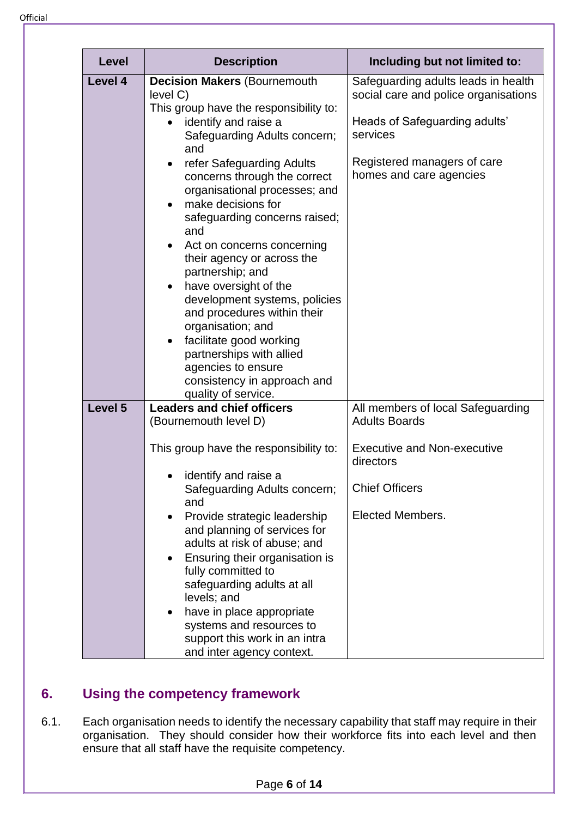| <b>Level</b>                                                                                                                                                                                                                                                                                                                                                                                                                                                                                                                                                                                                                                                                                                         | <b>Description</b> | Including but not limited to:                                                                                                                                                      |  |
|----------------------------------------------------------------------------------------------------------------------------------------------------------------------------------------------------------------------------------------------------------------------------------------------------------------------------------------------------------------------------------------------------------------------------------------------------------------------------------------------------------------------------------------------------------------------------------------------------------------------------------------------------------------------------------------------------------------------|--------------------|------------------------------------------------------------------------------------------------------------------------------------------------------------------------------------|--|
| Level 4<br><b>Decision Makers (Bournemouth</b><br>level C)<br>This group have the responsibility to:<br>identify and raise a<br>Safeguarding Adults concern;<br>and<br>refer Safeguarding Adults<br>$\bullet$<br>concerns through the correct<br>organisational processes; and<br>make decisions for<br>safeguarding concerns raised;<br>and<br>Act on concerns concerning<br>$\bullet$<br>their agency or across the<br>partnership; and<br>have oversight of the<br>$\bullet$<br>development systems, policies<br>and procedures within their<br>organisation; and<br>facilitate good working<br>$\bullet$<br>partnerships with allied<br>agencies to ensure<br>consistency in approach and<br>quality of service. |                    | Safeguarding adults leads in health<br>social care and police organisations<br>Heads of Safeguarding adults'<br>services<br>Registered managers of care<br>homes and care agencies |  |
| Level 5<br><b>Leaders and chief officers</b><br>(Bournemouth level D)<br>This group have the responsibility to:<br>identify and raise a<br>Safeguarding Adults concern;<br>and<br>Provide strategic leadership<br>$\bullet$<br>and planning of services for<br>adults at risk of abuse; and<br>Ensuring their organisation is<br>$\bullet$<br>fully committed to<br>safeguarding adults at all<br>levels; and<br>have in place appropriate<br>$\bullet$<br>systems and resources to<br>support this work in an intra<br>and inter agency context.                                                                                                                                                                    |                    | All members of local Safeguarding<br><b>Adults Boards</b><br><b>Executive and Non-executive</b><br>directors<br><b>Chief Officers</b><br><b>Elected Members.</b>                   |  |

# <span id="page-5-0"></span>**6. Using the competency framework**

6.1. Each organisation needs to identify the necessary capability that staff may require in their organisation. They should consider how their workforce fits into each level and then ensure that all staff have the requisite competency.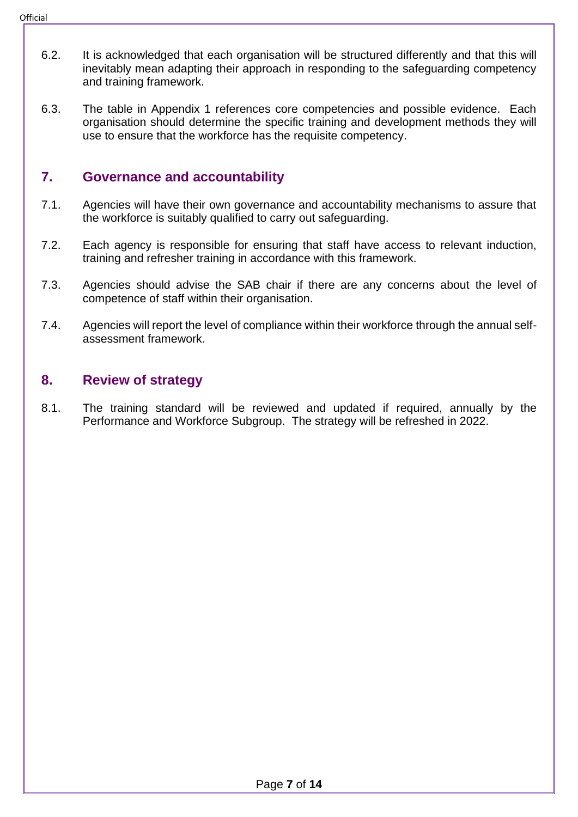- **Official** 
	- 6.2. It is acknowledged that each organisation will be structured differently and that this will inevitably mean adapting their approach in responding to the safeguarding competency and training framework.
	- 6.3. The table in Appendix 1 references core competencies and possible evidence. Each organisation should determine the specific training and development methods they will use to ensure that the workforce has the requisite competency.

## <span id="page-6-0"></span>**7. Governance and accountability**

- 7.1. Agencies will have their own governance and accountability mechanisms to assure that the workforce is suitably qualified to carry out safeguarding.
- 7.2. Each agency is responsible for ensuring that staff have access to relevant induction, training and refresher training in accordance with this framework.
- 7.3. Agencies should advise the SAB chair if there are any concerns about the level of competence of staff within their organisation.
- 7.4. Agencies will report the level of compliance within their workforce through the annual selfassessment framework.

#### <span id="page-6-1"></span>**8. Review of strategy**

8.1. The training standard will be reviewed and updated if required, annually by the Performance and Workforce Subgroup. The strategy will be refreshed in 2022.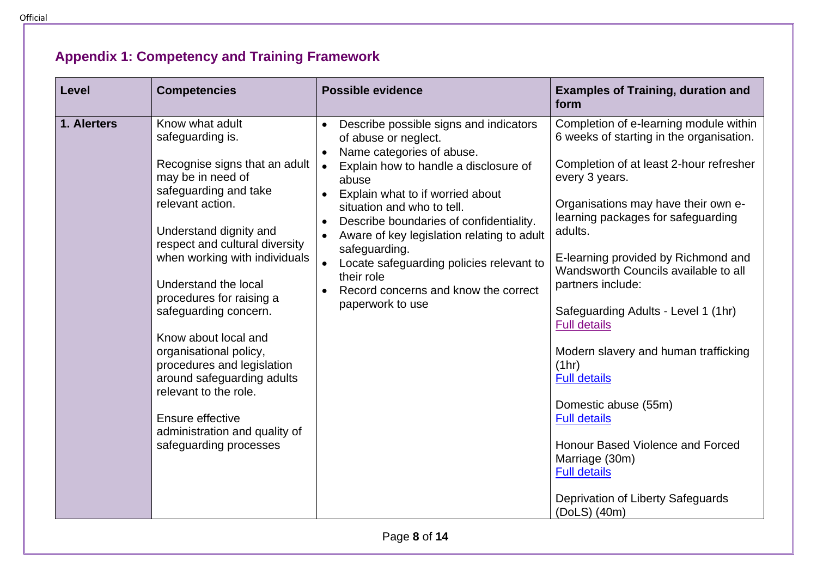#### **Level Competencies Possible evidence Examples of Training, duration and form 1. Alerters** Know what adult safeguarding is. Recognise signs that an adult may be in need of safeguarding and take relevant action. Understand dignity and respect and cultural diversity when working with individuals Understand the local procedures for raising a safeguarding concern. Know about local and organisational policy, procedures and legislation • Describe possible signs and indicators of abuse or neglect. Name categories of abuse. • Explain how to handle a disclosure of abuse • Explain what to if worried about situation and who to tell. • Describe boundaries of confidentiality. • Aware of key legislation relating to adult safeguarding. • Locate safeguarding policies relevant to their role • Record concerns and know the correct paperwork to use Completion of e-learning module within 6 weeks of starting in the organisation. Completion of at least 2-hour refresher every 3 years. Organisations may have their own elearning packages for safeguarding adults. E-learning provided by Richmond and Wandsworth Councils available to all partners include: Safeguarding Adults - Level 1 (1hr) [Full details](https://adultsocialcare.tpd.org.uk/elearning/Course/Detail?CourseId=59) Modern slavery and human trafficking (1hr)

[Full details](https://adultsocialcare.tpd.org.uk/elearning/Course/Detail?CourseId=88) Domestic abuse (55m) [Full details](https://adultsocialcare.tpd.org.uk/elearning/Course/Detail?CourseId=61)

Honour Based Violence and Forced Marriage (30m) [Full details](https://adultsocialcare.tpd.org.uk/elearning/Course/Detail?CourseId=89)

Deprivation of Liberty Safeguards (DoLS) (40m)

Page **8** of **14**

# **Appendix 1: Competency and Training Framework**

<span id="page-7-0"></span>around safeguarding adults

administration and quality of safeguarding processes

relevant to the role.

Ensure effective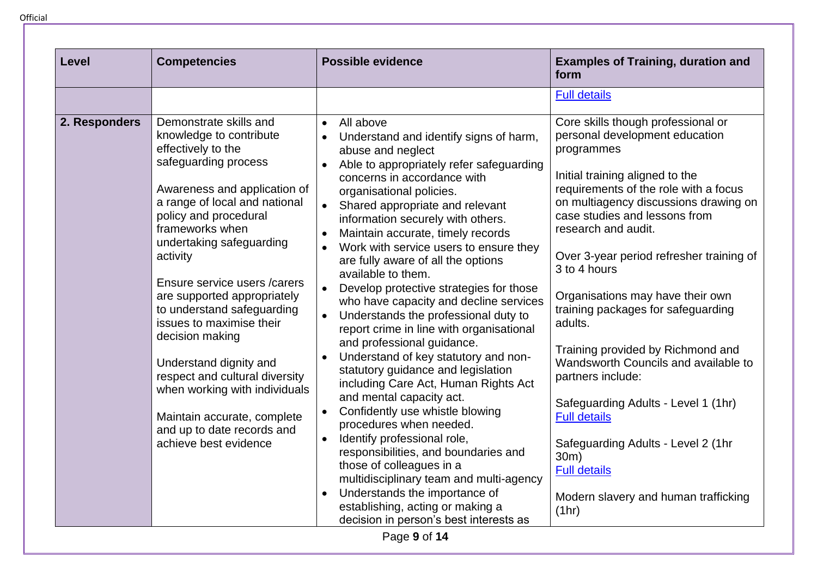| <b>Level</b>  | <b>Competencies</b>                                                                                                                                                                                                                                                                                                                                                                                                                                                                                                                                                                  | <b>Possible evidence</b>                                                                                                                                                                                                                                                                                                                                                                                                                                                                                                                                                                                                                                                                                                                                                                                                                                                                                                                                                                                                                                                                                                                                                                                                                              | <b>Examples of Training, duration and</b><br>form                                                                                                                                                                                                                                                                                                                                                                                                                                                                                                                                                                                                                                                      |
|---------------|--------------------------------------------------------------------------------------------------------------------------------------------------------------------------------------------------------------------------------------------------------------------------------------------------------------------------------------------------------------------------------------------------------------------------------------------------------------------------------------------------------------------------------------------------------------------------------------|-------------------------------------------------------------------------------------------------------------------------------------------------------------------------------------------------------------------------------------------------------------------------------------------------------------------------------------------------------------------------------------------------------------------------------------------------------------------------------------------------------------------------------------------------------------------------------------------------------------------------------------------------------------------------------------------------------------------------------------------------------------------------------------------------------------------------------------------------------------------------------------------------------------------------------------------------------------------------------------------------------------------------------------------------------------------------------------------------------------------------------------------------------------------------------------------------------------------------------------------------------|--------------------------------------------------------------------------------------------------------------------------------------------------------------------------------------------------------------------------------------------------------------------------------------------------------------------------------------------------------------------------------------------------------------------------------------------------------------------------------------------------------------------------------------------------------------------------------------------------------------------------------------------------------------------------------------------------------|
|               |                                                                                                                                                                                                                                                                                                                                                                                                                                                                                                                                                                                      |                                                                                                                                                                                                                                                                                                                                                                                                                                                                                                                                                                                                                                                                                                                                                                                                                                                                                                                                                                                                                                                                                                                                                                                                                                                       | <b>Full details</b>                                                                                                                                                                                                                                                                                                                                                                                                                                                                                                                                                                                                                                                                                    |
| 2. Responders | Demonstrate skills and<br>knowledge to contribute<br>effectively to the<br>safeguarding process<br>Awareness and application of<br>a range of local and national<br>policy and procedural<br>frameworks when<br>undertaking safeguarding<br>activity<br>Ensure service users / carers<br>are supported appropriately<br>to understand safeguarding<br>issues to maximise their<br>decision making<br>Understand dignity and<br>respect and cultural diversity<br>when working with individuals<br>Maintain accurate, complete<br>and up to date records and<br>achieve best evidence | All above<br>$\bullet$<br>Understand and identify signs of harm,<br>$\bullet$<br>abuse and neglect<br>Able to appropriately refer safeguarding<br>$\bullet$<br>concerns in accordance with<br>organisational policies.<br>Shared appropriate and relevant<br>$\bullet$<br>information securely with others.<br>Maintain accurate, timely records<br>$\bullet$<br>Work with service users to ensure they<br>are fully aware of all the options<br>available to them.<br>Develop protective strategies for those<br>$\bullet$<br>who have capacity and decline services<br>Understands the professional duty to<br>$\bullet$<br>report crime in line with organisational<br>and professional guidance.<br>Understand of key statutory and non-<br>$\bullet$<br>statutory guidance and legislation<br>including Care Act, Human Rights Act<br>and mental capacity act.<br>Confidently use whistle blowing<br>$\bullet$<br>procedures when needed.<br>Identify professional role,<br>$\bullet$<br>responsibilities, and boundaries and<br>those of colleagues in a<br>multidisciplinary team and multi-agency<br>Understands the importance of<br>$\bullet$<br>establishing, acting or making a<br>decision in person's best interests as<br>Page 9 of 14 | Core skills though professional or<br>personal development education<br>programmes<br>Initial training aligned to the<br>requirements of the role with a focus<br>on multiagency discussions drawing on<br>case studies and lessons from<br>research and audit.<br>Over 3-year period refresher training of<br>3 to 4 hours<br>Organisations may have their own<br>training packages for safeguarding<br>adults.<br>Training provided by Richmond and<br>Wandsworth Councils and available to<br>partners include:<br>Safeguarding Adults - Level 1 (1hr)<br><b>Full details</b><br>Safeguarding Adults - Level 2 (1hr<br>30m)<br><b>Full details</b><br>Modern slavery and human trafficking<br>(1hr) |

Official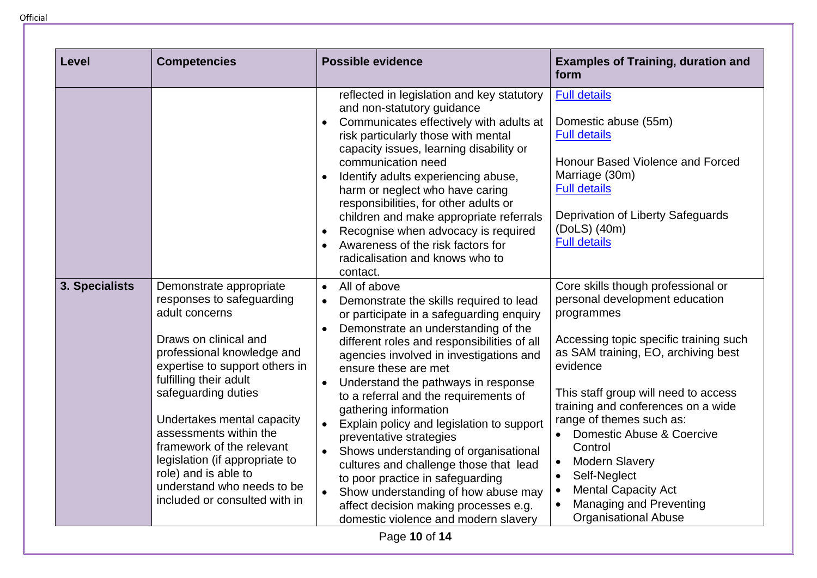**Level Competencies Possible evidence Examples of Training, duration and form**  reflected in legislation and key statutory and non-statutory guidance • Communicates effectively with adults at risk particularly those with mental capacity issues, learning disability or communication need • Identify adults experiencing abuse. harm or neglect who have caring responsibilities, for other adults or children and make appropriate referrals • Recognise when advocacy is required • Awareness of the risk factors for radicalisation and knows who to contact. [Full details](https://adultsocialcare.tpd.org.uk/elearning/Course/Detail?CourseId=88) Domestic abuse (55m) [Full details](https://adultsocialcare.tpd.org.uk/elearning/Course/Detail?CourseId=61) Honour Based Violence and Forced Marriage (30m) [Full details](https://adultsocialcare.tpd.org.uk/elearning/Course/Detail?CourseId=89) Deprivation of Liberty Safeguards (DoLS) (40m) [Full details](https://adultsocialcare.tpd.org.uk/elearning/Course/Detail?CourseId=90) **3. Specialists** Demonstrate appropriate responses to safeguarding adult concerns Draws on clinical and professional knowledge and expertise to support others in fulfilling their adult safeguarding duties Undertakes mental capacity assessments within the framework of the relevant legislation (if appropriate to role) and is able to understand who needs to be • All of above • Demonstrate the skills required to lead or participate in a safeguarding enquiry • Demonstrate an understanding of the different roles and responsibilities of all agencies involved in investigations and ensure these are met • Understand the pathways in response to a referral and the requirements of gathering information • Explain policy and legislation to support preventative strategies • Shows understanding of organisational cultures and challenge those that lead to poor practice in safeguarding Show understanding of how abuse may Core skills though professional or personal development education programmes Accessing topic specific training such as SAM training, EO, archiving best evidence This staff group will need to access training and conferences on a wide range of themes such as: • Domestic Abuse & Coercive **Control** • Modern Slavery Self-Neglect **Mental Capacity Act** 

**Official** 

Page **10** of **14**

affect decision making processes e.g. domestic violence and modern slavery • Managing and Preventing Organisational Abuse

included or consulted with in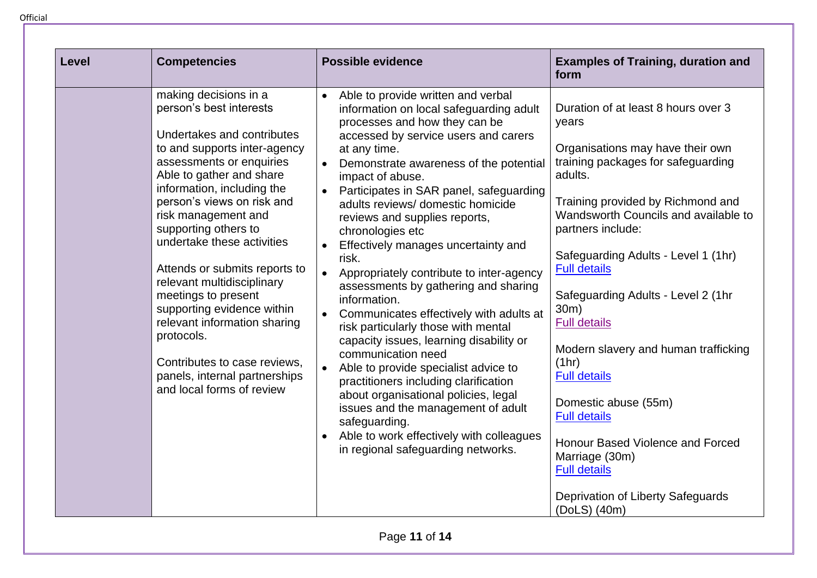| Level | <b>Competencies</b>                                                                                                                                                                                                                                                                                                                                                                                                                                                                                                                                                             | <b>Possible evidence</b>                                                                                                                                                                                                                                                                                                                                                                                                                                                                                                                                                                                                                                                                                                                                                                                                                                                                                                                                                                                            | <b>Examples of Training, duration and</b><br>form                                                                                                                                                                                                                                                                                                                                                                                                                                                                                                                                                                               |
|-------|---------------------------------------------------------------------------------------------------------------------------------------------------------------------------------------------------------------------------------------------------------------------------------------------------------------------------------------------------------------------------------------------------------------------------------------------------------------------------------------------------------------------------------------------------------------------------------|---------------------------------------------------------------------------------------------------------------------------------------------------------------------------------------------------------------------------------------------------------------------------------------------------------------------------------------------------------------------------------------------------------------------------------------------------------------------------------------------------------------------------------------------------------------------------------------------------------------------------------------------------------------------------------------------------------------------------------------------------------------------------------------------------------------------------------------------------------------------------------------------------------------------------------------------------------------------------------------------------------------------|---------------------------------------------------------------------------------------------------------------------------------------------------------------------------------------------------------------------------------------------------------------------------------------------------------------------------------------------------------------------------------------------------------------------------------------------------------------------------------------------------------------------------------------------------------------------------------------------------------------------------------|
|       | making decisions in a<br>person's best interests<br>Undertakes and contributes<br>to and supports inter-agency<br>assessments or enquiries<br>Able to gather and share<br>information, including the<br>person's views on risk and<br>risk management and<br>supporting others to<br>undertake these activities<br>Attends or submits reports to<br>relevant multidisciplinary<br>meetings to present<br>supporting evidence within<br>relevant information sharing<br>protocols.<br>Contributes to case reviews,<br>panels, internal partnerships<br>and local forms of review | Able to provide written and verbal<br>$\bullet$<br>information on local safeguarding adult<br>processes and how they can be<br>accessed by service users and carers<br>at any time.<br>Demonstrate awareness of the potential<br>$\bullet$<br>impact of abuse.<br>Participates in SAR panel, safeguarding<br>$\bullet$<br>adults reviews/ domestic homicide<br>reviews and supplies reports,<br>chronologies etc<br>Effectively manages uncertainty and<br>risk.<br>Appropriately contribute to inter-agency<br>$\bullet$<br>assessments by gathering and sharing<br>information.<br>Communicates effectively with adults at<br>risk particularly those with mental<br>capacity issues, learning disability or<br>communication need<br>Able to provide specialist advice to<br>$\bullet$<br>practitioners including clarification<br>about organisational policies, legal<br>issues and the management of adult<br>safeguarding.<br>Able to work effectively with colleagues<br>in regional safeguarding networks. | Duration of at least 8 hours over 3<br>years<br>Organisations may have their own<br>training packages for safeguarding<br>adults.<br>Training provided by Richmond and<br>Wandsworth Councils and available to<br>partners include:<br>Safeguarding Adults - Level 1 (1hr)<br><b>Full details</b><br>Safeguarding Adults - Level 2 (1hr<br>30m)<br><b>Full details</b><br>Modern slavery and human trafficking<br>(1hr)<br><b>Full details</b><br>Domestic abuse (55m)<br><b>Full details</b><br>Honour Based Violence and Forced<br>Marriage (30m)<br><b>Full details</b><br>Deprivation of Liberty Safeguards<br>(DoLS) (40m) |

Page **11** of **14**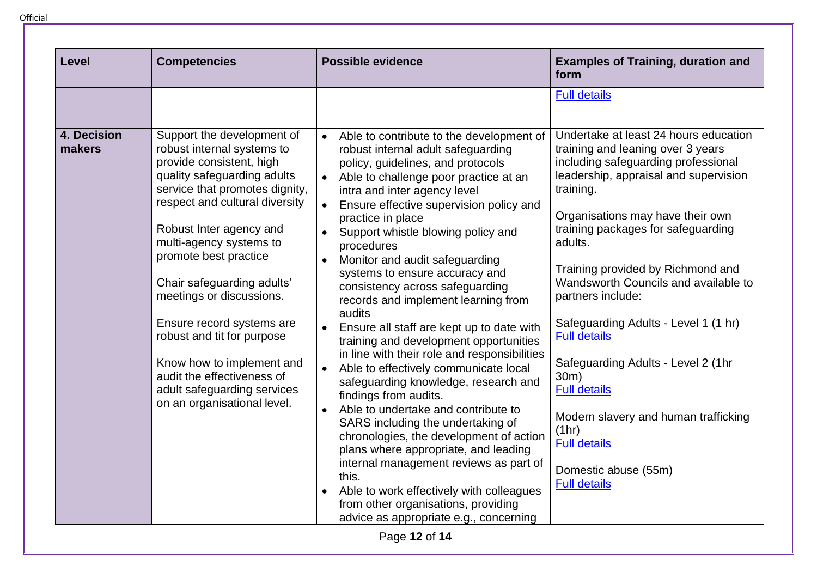| <b>Level</b>          | <b>Competencies</b>                                                                                                                                                                                                                                                                                                                                                                                                                                                                                                  | <b>Possible evidence</b>                                                                                                                                                                                                                                                                                                                                                                                                                                                                                                                                                                                                                                                                                                                                                                                                                                                                                                                                                                                                                                                                                                       | <b>Examples of Training, duration and</b><br>form                                                                                                                                                                                                                                                                                                                                                                                                                                                                                                                                                                         |
|-----------------------|----------------------------------------------------------------------------------------------------------------------------------------------------------------------------------------------------------------------------------------------------------------------------------------------------------------------------------------------------------------------------------------------------------------------------------------------------------------------------------------------------------------------|--------------------------------------------------------------------------------------------------------------------------------------------------------------------------------------------------------------------------------------------------------------------------------------------------------------------------------------------------------------------------------------------------------------------------------------------------------------------------------------------------------------------------------------------------------------------------------------------------------------------------------------------------------------------------------------------------------------------------------------------------------------------------------------------------------------------------------------------------------------------------------------------------------------------------------------------------------------------------------------------------------------------------------------------------------------------------------------------------------------------------------|---------------------------------------------------------------------------------------------------------------------------------------------------------------------------------------------------------------------------------------------------------------------------------------------------------------------------------------------------------------------------------------------------------------------------------------------------------------------------------------------------------------------------------------------------------------------------------------------------------------------------|
|                       |                                                                                                                                                                                                                                                                                                                                                                                                                                                                                                                      |                                                                                                                                                                                                                                                                                                                                                                                                                                                                                                                                                                                                                                                                                                                                                                                                                                                                                                                                                                                                                                                                                                                                | <b>Full details</b>                                                                                                                                                                                                                                                                                                                                                                                                                                                                                                                                                                                                       |
| 4. Decision<br>makers | Support the development of<br>robust internal systems to<br>provide consistent, high<br>quality safeguarding adults<br>service that promotes dignity,<br>respect and cultural diversity<br>Robust Inter agency and<br>multi-agency systems to<br>promote best practice<br>Chair safeguarding adults'<br>meetings or discussions.<br>Ensure record systems are<br>robust and tit for purpose<br>Know how to implement and<br>audit the effectiveness of<br>adult safeguarding services<br>on an organisational level. | Able to contribute to the development of<br>$\bullet$<br>robust internal adult safeguarding<br>policy, guidelines, and protocols<br>• Able to challenge poor practice at an<br>intra and inter agency level<br>Ensure effective supervision policy and<br>$\bullet$<br>practice in place<br>Support whistle blowing policy and<br>$\bullet$<br>procedures<br>Monitor and audit safeguarding<br>$\bullet$<br>systems to ensure accuracy and<br>consistency across safeguarding<br>records and implement learning from<br>audits<br>Ensure all staff are kept up to date with<br>training and development opportunities<br>in line with their role and responsibilities<br>Able to effectively communicate local<br>safeguarding knowledge, research and<br>findings from audits.<br>Able to undertake and contribute to<br>SARS including the undertaking of<br>chronologies, the development of action<br>plans where appropriate, and leading<br>internal management reviews as part of<br>this.<br>Able to work effectively with colleagues<br>from other organisations, providing<br>advice as appropriate e.g., concerning | Undertake at least 24 hours education<br>training and leaning over 3 years<br>including safeguarding professional<br>leadership, appraisal and supervision<br>training.<br>Organisations may have their own<br>training packages for safeguarding<br>adults.<br>Training provided by Richmond and<br>Wandsworth Councils and available to<br>partners include:<br>Safeguarding Adults - Level 1 (1 hr)<br><b>Full details</b><br>Safeguarding Adults - Level 2 (1hr<br>30m)<br><b>Full details</b><br>Modern slavery and human trafficking<br>(1hr)<br><b>Full details</b><br>Domestic abuse (55m)<br><b>Full details</b> |
| Page 12 of 14         |                                                                                                                                                                                                                                                                                                                                                                                                                                                                                                                      |                                                                                                                                                                                                                                                                                                                                                                                                                                                                                                                                                                                                                                                                                                                                                                                                                                                                                                                                                                                                                                                                                                                                |                                                                                                                                                                                                                                                                                                                                                                                                                                                                                                                                                                                                                           |

Official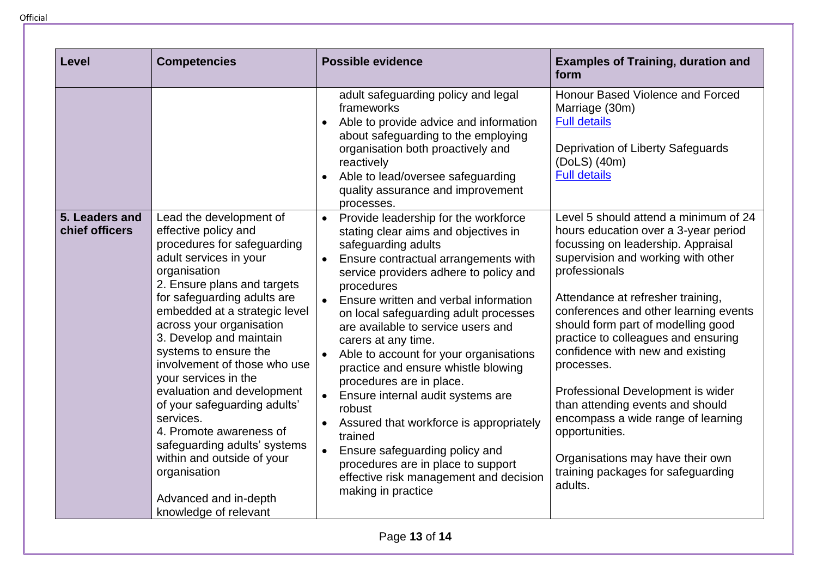**Level Competencies Possible evidence Examples of Training, duration and form**  adult safeguarding policy and legal frameworks • Able to provide advice and information about safeguarding to the employing organisation both proactively and reactively • Able to lead/oversee safequarding quality assurance and improvement processes. Honour Based Violence and Forced Marriage (30m) [Full details](https://adultsocialcare.tpd.org.uk/elearning/Course/Detail?CourseId=89) Deprivation of Liberty Safeguards (DoLS) (40m) [Full details](https://adultsocialcare.tpd.org.uk/elearning/Course/Detail?CourseId=90) **5. Leaders and chief officers**  Lead the development of effective policy and procedures for safeguarding adult services in your organisation 2. Ensure plans and targets for safeguarding adults are embedded at a strategic level across your organisation 3. Develop and maintain systems to ensure the involvement of those who use your services in the evaluation and development of your safeguarding adults' services. 4. Promote awareness of safeguarding adults' systems within and outside of your organisation Advanced and in-depth knowledge of relevant • Provide leadership for the workforce stating clear aims and objectives in safeguarding adults • Ensure contractual arrangements with service providers adhere to policy and procedures • Ensure written and verbal information on local safeguarding adult processes are available to service users and carers at any time. Able to account for your organisations practice and ensure whistle blowing procedures are in place. • Ensure internal audit systems are robust • Assured that workforce is appropriately trained • Ensure safeguarding policy and procedures are in place to support effective risk management and decision making in practice Level 5 should attend a minimum of 24 hours education over a 3-year period focussing on leadership. Appraisal supervision and working with other professionals Attendance at refresher training, conferences and other learning events should form part of modelling good practice to colleagues and ensuring confidence with new and existing processes. Professional Development is wider than attending events and should encompass a wide range of learning opportunities. Organisations may have their own training packages for safeguarding adults.